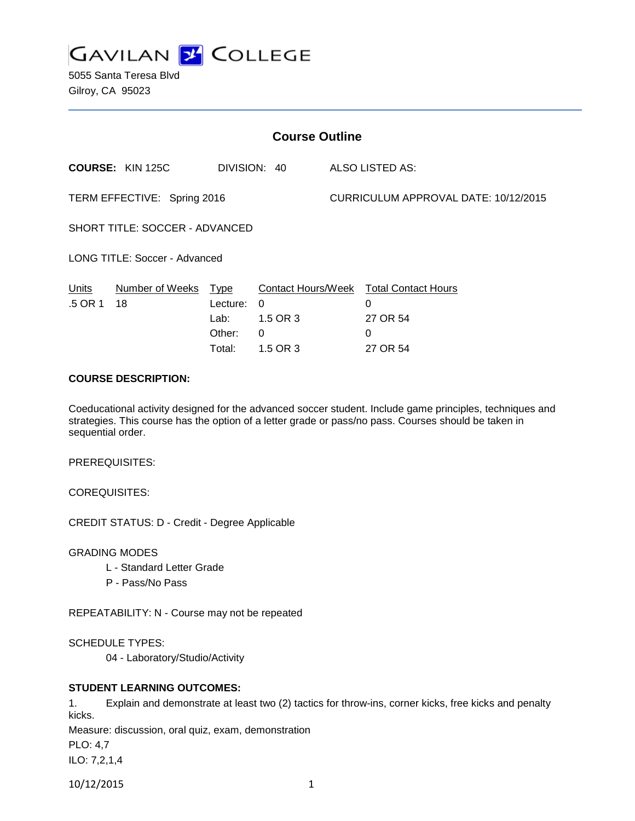

5055 Santa Teresa Blvd Gilroy, CA 95023

| <b>Course Outline</b>                |                         |                                              |                                                                                   |                                      |                                                              |
|--------------------------------------|-------------------------|----------------------------------------------|-----------------------------------------------------------------------------------|--------------------------------------|--------------------------------------------------------------|
|                                      | <b>COURSE: KIN 125C</b> |                                              | DIVISION: 40                                                                      |                                      | ALSO LISTED AS:                                              |
| TERM EFFECTIVE: Spring 2016          |                         |                                              |                                                                                   | CURRICULUM APPROVAL DATE: 10/12/2015 |                                                              |
| SHORT TITLE: SOCCER - ADVANCED       |                         |                                              |                                                                                   |                                      |                                                              |
| <b>LONG TITLE: Soccer - Advanced</b> |                         |                                              |                                                                                   |                                      |                                                              |
| Units<br>.5 OR 1                     | Number of Weeks<br>18   | Type<br>Lecture:<br>Lab:<br>Other:<br>Total: | <b>Contact Hours/Week</b><br>$\mathbf{0}$<br>1.5 OR 3<br>$\mathbf{0}$<br>1.5 OR 3 |                                      | <b>Total Contact Hours</b><br>0<br>27 OR 54<br>0<br>27 OR 54 |

## **COURSE DESCRIPTION:**

Coeducational activity designed for the advanced soccer student. Include game principles, techniques and strategies. This course has the option of a letter grade or pass/no pass. Courses should be taken in sequential order.

PREREQUISITES:

COREQUISITES:

CREDIT STATUS: D - Credit - Degree Applicable

GRADING MODES

- L Standard Letter Grade
- P Pass/No Pass

REPEATABILITY: N - Course may not be repeated

SCHEDULE TYPES:

04 - Laboratory/Studio/Activity

### **STUDENT LEARNING OUTCOMES:**

1. Explain and demonstrate at least two (2) tactics for throw-ins, corner kicks, free kicks and penalty kicks.

Measure: discussion, oral quiz, exam, demonstration

PLO: 4,7

ILO: 7,2,1,4

10/12/2015 1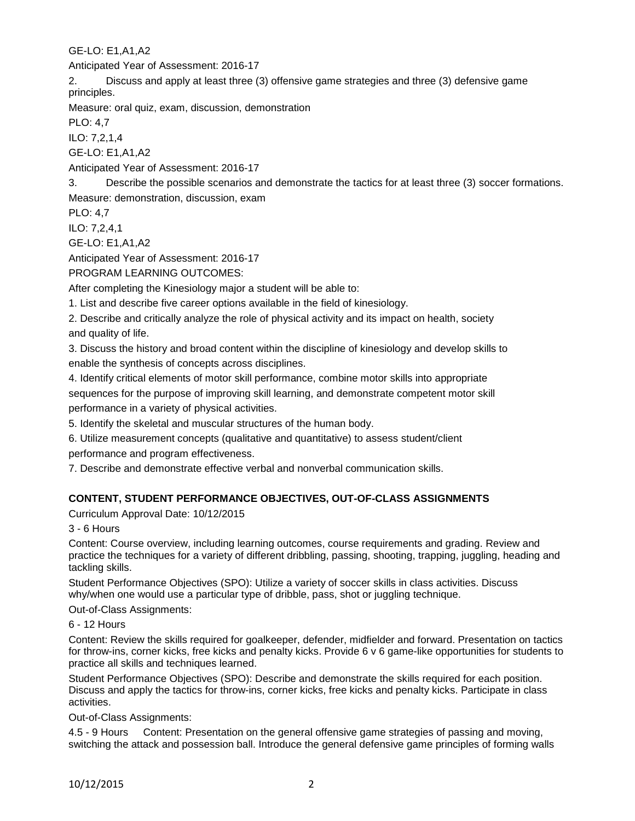GE-LO: E1,A1,A2

Anticipated Year of Assessment: 2016-17

2. Discuss and apply at least three (3) offensive game strategies and three (3) defensive game principles.

Measure: oral quiz, exam, discussion, demonstration

PLO: 4,7

ILO: 7,2,1,4

GE-LO: E1,A1,A2

Anticipated Year of Assessment: 2016-17

3. Describe the possible scenarios and demonstrate the tactics for at least three (3) soccer formations. Measure: demonstration, discussion, exam

PLO: 4,7

ILO: 7,2,4,1

GE-LO: E1,A1,A2

Anticipated Year of Assessment: 2016-17

PROGRAM LEARNING OUTCOMES:

After completing the Kinesiology major a student will be able to:

1. List and describe five career options available in the field of kinesiology.

2. Describe and critically analyze the role of physical activity and its impact on health, society and quality of life.

3. Discuss the history and broad content within the discipline of kinesiology and develop skills to enable the synthesis of concepts across disciplines.

4. Identify critical elements of motor skill performance, combine motor skills into appropriate sequences for the purpose of improving skill learning, and demonstrate competent motor skill performance in a variety of physical activities.

5. Identify the skeletal and muscular structures of the human body.

6. Utilize measurement concepts (qualitative and quantitative) to assess student/client performance and program effectiveness.

7. Describe and demonstrate effective verbal and nonverbal communication skills.

# **CONTENT, STUDENT PERFORMANCE OBJECTIVES, OUT-OF-CLASS ASSIGNMENTS**

Curriculum Approval Date: 10/12/2015

3 - 6 Hours

Content: Course overview, including learning outcomes, course requirements and grading. Review and practice the techniques for a variety of different dribbling, passing, shooting, trapping, juggling, heading and tackling skills.

Student Performance Objectives (SPO): Utilize a variety of soccer skills in class activities. Discuss why/when one would use a particular type of dribble, pass, shot or juggling technique.

Out-of-Class Assignments:

6 - 12 Hours

Content: Review the skills required for goalkeeper, defender, midfielder and forward. Presentation on tactics for throw-ins, corner kicks, free kicks and penalty kicks. Provide 6 v 6 game-like opportunities for students to practice all skills and techniques learned.

Student Performance Objectives (SPO): Describe and demonstrate the skills required for each position. Discuss and apply the tactics for throw-ins, corner kicks, free kicks and penalty kicks. Participate in class activities.

Out-of-Class Assignments:

4.5 - 9 Hours Content: Presentation on the general offensive game strategies of passing and moving, switching the attack and possession ball. Introduce the general defensive game principles of forming walls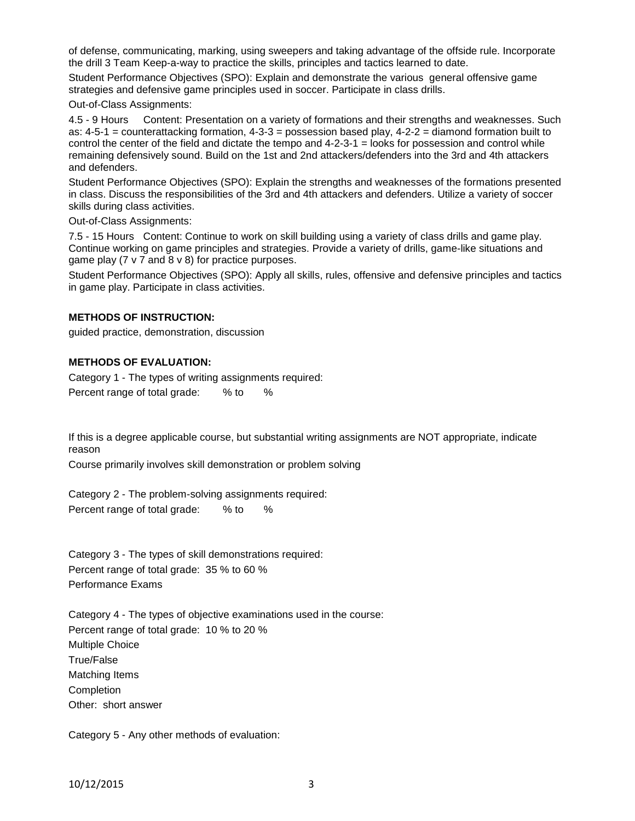of defense, communicating, marking, using sweepers and taking advantage of the offside rule. Incorporate the drill 3 Team Keep-a-way to practice the skills, principles and tactics learned to date.

Student Performance Objectives (SPO): Explain and demonstrate the various general offensive game strategies and defensive game principles used in soccer. Participate in class drills.

Out-of-Class Assignments:

4.5 - 9 Hours Content: Presentation on a variety of formations and their strengths and weaknesses. Such as: 4-5-1 = counterattacking formation, 4-3-3 = possession based play, 4-2-2 = diamond formation built to control the center of the field and dictate the tempo and 4-2-3-1 = looks for possession and control while remaining defensively sound. Build on the 1st and 2nd attackers/defenders into the 3rd and 4th attackers and defenders.

Student Performance Objectives (SPO): Explain the strengths and weaknesses of the formations presented in class. Discuss the responsibilities of the 3rd and 4th attackers and defenders. Utilize a variety of soccer skills during class activities.

Out-of-Class Assignments:

7.5 - 15 Hours Content: Continue to work on skill building using a variety of class drills and game play. Continue working on game principles and strategies. Provide a variety of drills, game-like situations and game play (7 v 7 and 8 v 8) for practice purposes.

Student Performance Objectives (SPO): Apply all skills, rules, offensive and defensive principles and tactics in game play. Participate in class activities.

#### **METHODS OF INSTRUCTION:**

guided practice, demonstration, discussion

#### **METHODS OF EVALUATION:**

Category 1 - The types of writing assignments required: Percent range of total grade: % to %

If this is a degree applicable course, but substantial writing assignments are NOT appropriate, indicate reason

Course primarily involves skill demonstration or problem solving

Category 2 - The problem-solving assignments required: Percent range of total grade: % to %

Category 3 - The types of skill demonstrations required: Percent range of total grade: 35 % to 60 % Performance Exams

Category 4 - The types of objective examinations used in the course: Percent range of total grade: 10 % to 20 % Multiple Choice True/False Matching Items Completion Other: short answer

Category 5 - Any other methods of evaluation: